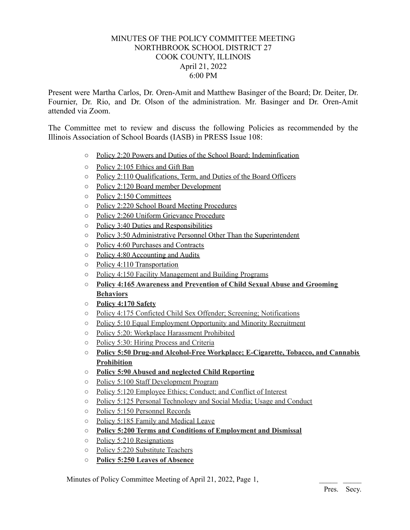## MINUTES OF THE POLICY COMMITTEE MEETING NORTHBROOK SCHOOL DISTRICT 27 COOK COUNTY, ILLINOIS April 21, 2022 6:00 PM

Present were Martha Carlos, Dr. Oren-Amit and Matthew Basinger of the Board; Dr. Deiter, Dr. Fournier, Dr. Rio, and Dr. Olson of the administration. Mr. Basinger and Dr. Oren-Amit attended via Zoom.

The Committee met to review and discuss the following Policies as recommended by the Illinois Association of School Boards (IASB) in PRESS Issue 108:

- Policy 2:20 Powers and Duties of the School Board; Indeminfication
- Policy 2:105 Ethics and Gift Ban
- Policy 2:110 Qualifications, Term, and Duties of the Board Officers
- Policy 2:120 Board member Development
- Policy 2:150 Committees
- Policy 2:220 School Board Meeting Procedures
- Policy 2:260 Uniform Grievance Procedure
- Policy 3:40 Duties and Responsibilities
- Policy 3:50 Administrative Personnel Other Than the Superintendent
- Policy 4:60 Purchases and Contracts
- Policy 4:80 Accounting and Audits
- Policy 4:110 Transportation
- Policy 4:150 Facility Management and Building Programs
- **○ Policy 4:165 Awareness and Prevention of Child Sexual Abuse and Grooming Behaviors**
- **○ Policy 4:170 Safety**
- Policy 4:175 Conficted Child Sex Offender; Screening; Notifications
- Policy 5:10 Equal Employment Opportunity and Minority Recruitment
- Policy 5:20: Workplace Harassment Prohibited
- Policy 5:30: Hiring Process and Criteria
- **○ Policy 5:50 Drug-and Alcohol-Free Workplace; E-Cigarette, Tobacco, and Cannabis Prohibition**
- **○ Policy 5:90 Abused and neglected Child Reporting**
- Policy 5:100 Staff Development Program
- Policy 5:120 Employee Ethics; Conduct; and Conflict of Interest
- Policy 5:125 Personal Technology and Social Media; Usage and Conduct
- Policy 5:150 Personnel Records
- Policy 5:185 Family and Medical Leave
- **○ Policy 5:200 Terms and Conditions of Employment and Dismissal**
- Policy 5:210 Resignations
- Policy 5:220 Substitute Teachers
- **○ Policy 5:250 Leaves of Absence**

Minutes of Policy Committee Meeting of April 21, 2022, Page 1,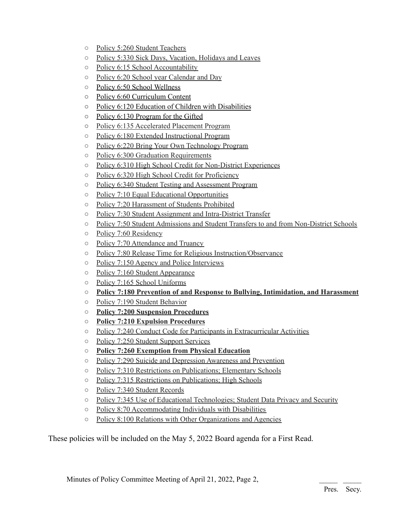- Policy 5:260 Student Teachers
- Policy 5:330 Sick Days, Vacation, Holidays and Leaves
- Policy 6:15 School Accountability
- Policy 6:20 School year Calendar and Day
- Policy 6:50 School Wellness
- Policy 6:60 Curriculum Content
- Policy 6:120 Education of Children with Disabilities
- Policy 6:130 Program for the Gifted
- Policy 6:135 Accelerated Placement Program
- Policy 6:180 Extended Instructional Program
- Policy 6:220 Bring Your Own Technology Program
- Policy 6:300 Graduation Requirements
- Policy 6:310 High School Credit for Non-District Experiences
- Policy 6:320 High School Credit for Proficiency
- Policy 6:340 Student Testing and Assessment Program
- Policy 7:10 Equal Educational Opportunities
- Policy 7:20 Harassment of Students Prohibited
- Policy 7:30 Student Assignment and Intra-District Transfer
- Policy 7:50 Student Admissions and Student Transfers to and from Non-District Schools
- Policy 7:60 Residency
- Policy 7:70 Attendance and Truancy
- Policy 7:80 Release Time for Religious Instruction/Observance
- Policy 7:150 Agency and Police Interviews
- Policy 7:160 Student Appearance
- Policy 7:165 School Uniforms
- **○ Policy 7:180 Prevention of and Response to Bullying, Intimidation, and Harassment**
- Policy 7:190 Student Behavior
- **○ Policy 7:200 Suspension Procedures**
- **○ Policy 7:210 Expulsion Procedures**
- Policy 7:240 Conduct Code for Participants in Extracurricular Activities
- Policy 7:250 Student Support Services
- **○ Policy 7:260 Exemption from Physical Education**
- Policy 7:290 Suicide and Depression Awareness and Prevention
- Policy 7:310 Restrictions on Publications; Elementary Schools
- Policy 7:315 Restrictions on Publications; High Schools
- Policy 7:340 Student Records
- Policy 7:345 Use of Educational Technologies; Student Data Privacy and Security
- Policy 8:70 Accommodating Individuals with Disabilities
- Policy 8:100 Relations with Other Organizations and Agencies

These policies will be included on the May 5, 2022 Board agenda for a First Read.

Minutes of Policy Committee Meeting of April 21, 2022, Page 2,